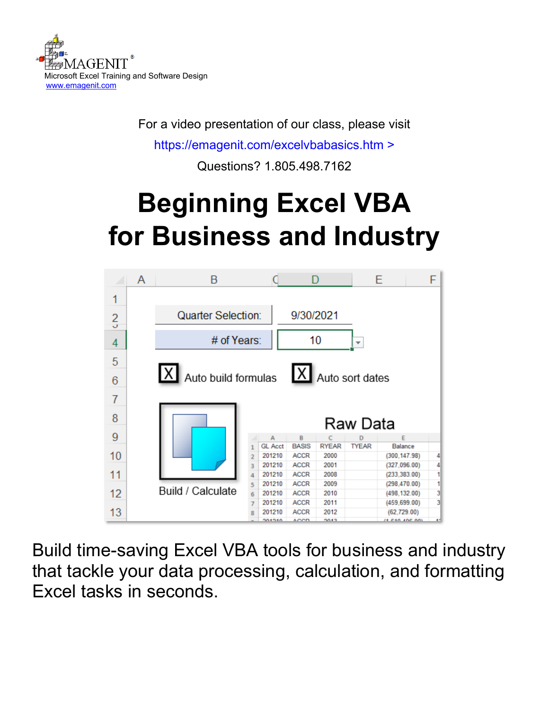

For a video presentation of our class, please visit

<https://emagenit.com/excelvbabasics.htm>>

Questions? 1.805.498.7162

# **Beginning Excel VBA for Business and Industry**



Build time-saving Excel VBA tools for business and industry that tackle your data processing, calculation, and formatting Excel tasks in seconds.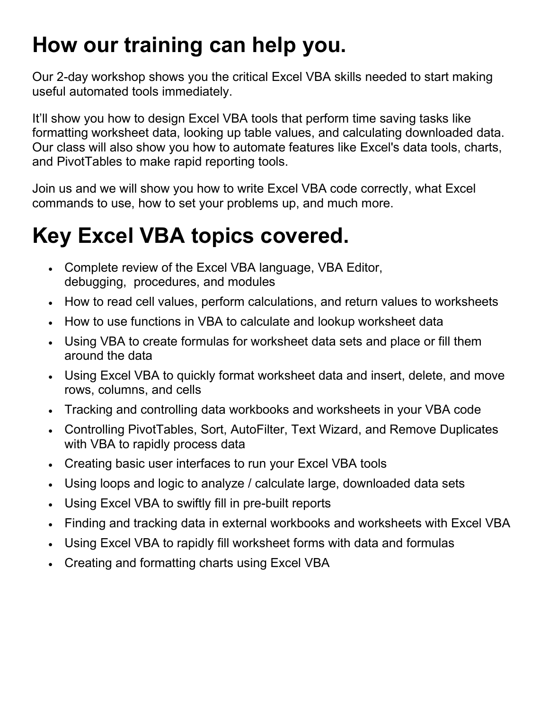### **How our training can help you.**

Our 2-day workshop shows you the critical Excel VBA skills needed to start making useful automated tools immediately.

It'll show you how to design Excel VBA tools that perform time saving tasks like formatting worksheet data, looking up table values, and calculating downloaded data. Our class will also show you how to automate features like Excel's data tools, charts, and PivotTables to make rapid reporting tools.

Join us and we will show you how to write Excel VBA code correctly, what Excel commands to use, how to set your problems up, and much more.

### **Key Excel VBA topics covered.**

- Complete review of the Excel VBA language, VBA Editor, debugging, procedures, and modules
- How to read cell values, perform calculations, and return values to worksheets
- How to use functions in VBA to calculate and lookup worksheet data
- Using VBA to create formulas for worksheet data sets and place or fill them around the data
- Using Excel VBA to quickly format worksheet data and insert, delete, and move rows, columns, and cells
- Tracking and controlling data workbooks and worksheets in your VBA code
- Controlling PivotTables, Sort, AutoFilter, Text Wizard, and Remove Duplicates with VBA to rapidly process data
- Creating basic user interfaces to run your Excel VBA tools
- Using loops and logic to analyze / calculate large, downloaded data sets
- Using Excel VBA to swiftly fill in pre-built reports
- Finding and tracking data in external workbooks and worksheets with Excel VBA
- Using Excel VBA to rapidly fill worksheet forms with data and formulas
- Creating and formatting charts using Excel VBA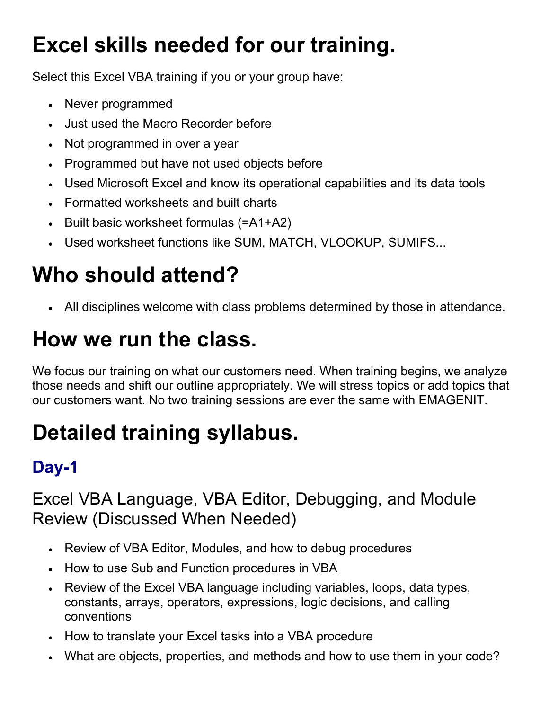## **Excel skills needed for our training.**

Select this Excel VBA training if you or your group have:

- Never programmed
- Just used the Macro Recorder before
- Not programmed in over a year
- Programmed but have not used objects before
- Used Microsoft Excel and know its operational capabilities and its data tools
- Formatted worksheets and built charts
- Built basic worksheet formulas (=A1+A2)
- Used worksheet functions like SUM, MATCH, VLOOKUP, SUMIFS...

# **Who should attend?**

• All disciplines welcome with class problems determined by those in attendance.

## **How we run the class.**

We focus our training on what our customers need. When training begins, we analyze those needs and shift our outline appropriately. We will stress topics or add topics that our customers want. No two training sessions are ever the same with EMAGENIT.

# **Detailed training syllabus.**

### **Day-1**

Excel VBA Language, VBA Editor, Debugging, and Module Review (Discussed When Needed)

- Review of VBA Editor, Modules, and how to debug procedures
- How to use Sub and Function procedures in VBA
- Review of the Excel VBA language including variables, loops, data types, constants, arrays, operators, expressions, logic decisions, and calling conventions
- How to translate your Excel tasks into a VBA procedure
- What are objects, properties, and methods and how to use them in your code?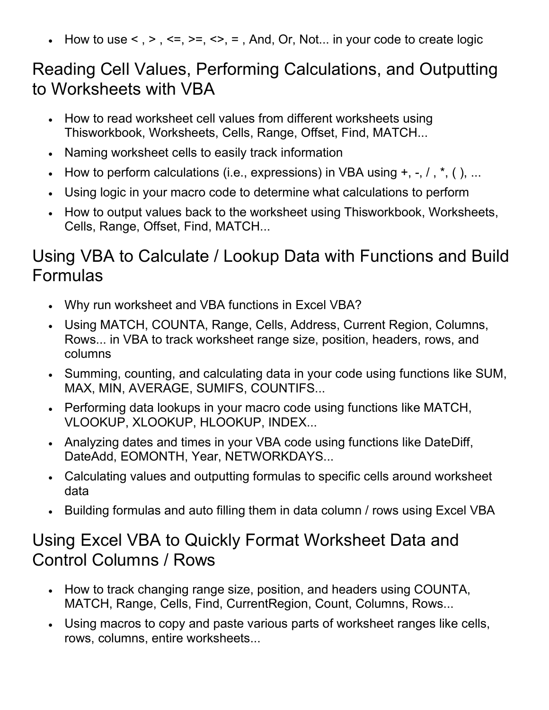• How to use  $\leq$ ,  $\geq$ ,  $\leq$ ,  $\geq$ ,  $\leq$ ,  $\leq$ ,  $\leq$ , And, Or, Not... in your code to create logic

#### Reading Cell Values, Performing Calculations, and Outputting to Worksheets with VBA

- How to read worksheet cell values from different worksheets using Thisworkbook, Worksheets, Cells, Range, Offset, Find, MATCH...
- Naming worksheet cells to easily track information
- How to perform calculations (i.e., expressions) in VBA using  $+, -, /, *, (), ...$
- Using logic in your macro code to determine what calculations to perform
- How to output values back to the worksheet using Thisworkbook, Worksheets, Cells, Range, Offset, Find, MATCH...

#### Using VBA to Calculate / Lookup Data with Functions and Build Formulas

- Why run worksheet and VBA functions in Excel VBA?
- Using MATCH, COUNTA, Range, Cells, Address, Current Region, Columns, Rows... in VBA to track worksheet range size, position, headers, rows, and columns
- Summing, counting, and calculating data in your code using functions like SUM, MAX, MIN, AVERAGE, SUMIFS, COUNTIFS...
- Performing data lookups in your macro code using functions like MATCH, VLOOKUP, XLOOKUP, HLOOKUP, INDEX...
- Analyzing dates and times in your VBA code using functions like DateDiff, DateAdd, EOMONTH, Year, NETWORKDAYS...
- Calculating values and outputting formulas to specific cells around worksheet data
- Building formulas and auto filling them in data column / rows using Excel VBA

#### Using Excel VBA to Quickly Format Worksheet Data and Control Columns / Rows

- How to track changing range size, position, and headers using COUNTA, MATCH, Range, Cells, Find, CurrentRegion, Count, Columns, Rows...
- Using macros to copy and paste various parts of worksheet ranges like cells, rows, columns, entire worksheets...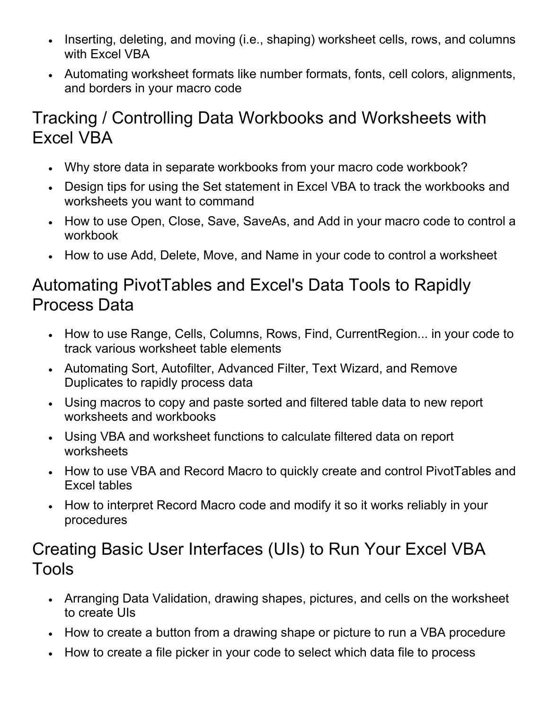- Inserting, deleting, and moving (i.e., shaping) worksheet cells, rows, and columns with Excel VBA
- Automating worksheet formats like number formats, fonts, cell colors, alignments, and borders in your macro code

#### Tracking / Controlling Data Workbooks and Worksheets with Excel VBA

- Why store data in separate workbooks from your macro code workbook?
- Design tips for using the Set statement in Excel VBA to track the workbooks and worksheets you want to command
- How to use Open, Close, Save, SaveAs, and Add in your macro code to control a workbook
- How to use Add, Delete, Move, and Name in your code to control a worksheet

#### Automating PivotTables and Excel's Data Tools to Rapidly Process Data

- How to use Range, Cells, Columns, Rows, Find, CurrentRegion... in your code to track various worksheet table elements
- Automating Sort, Autofilter, Advanced Filter, Text Wizard, and Remove Duplicates to rapidly process data
- Using macros to copy and paste sorted and filtered table data to new report worksheets and workbooks
- Using VBA and worksheet functions to calculate filtered data on report worksheets
- How to use VBA and Record Macro to quickly create and control PivotTables and Excel tables
- How to interpret Record Macro code and modify it so it works reliably in your procedures

#### Creating Basic User Interfaces (UIs) to Run Your Excel VBA Tools

- Arranging Data Validation, drawing shapes, pictures, and cells on the worksheet to create UIs
- How to create a button from a drawing shape or picture to run a VBA procedure
- How to create a file picker in your code to select which data file to process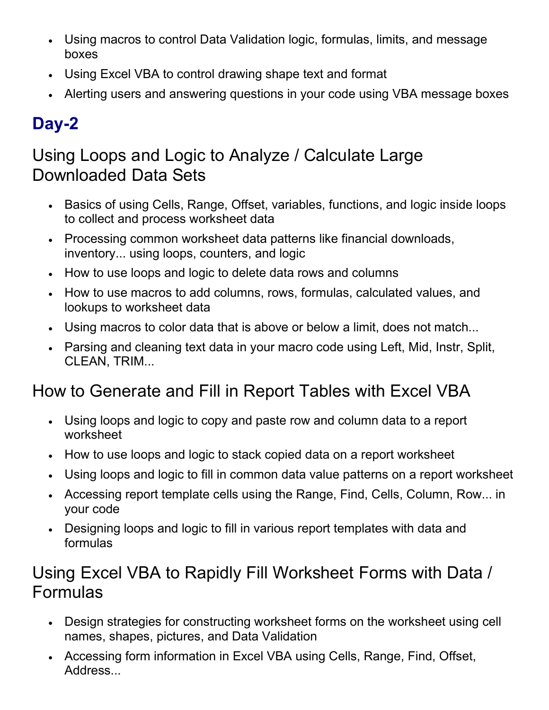- Using macros to control Data Validation logic, formulas, limits, and message boxes
- Using Excel VBA to control drawing shape text and format
- Alerting users and answering questions in your code using VBA message boxes

### **Day-2**

#### Using Loops and Logic to Analyze / Calculate Large Downloaded Data Sets

- Basics of using Cells, Range, Offset, variables, functions, and logic inside loops to collect and process worksheet data
- Processing common worksheet data patterns like financial downloads, inventory... using loops, counters, and logic
- How to use loops and logic to delete data rows and columns
- How to use macros to add columns, rows, formulas, calculated values, and lookups to worksheet data
- Using macros to color data that is above or below a limit, does not match...
- Parsing and cleaning text data in your macro code using Left, Mid, Instr, Split, CLEAN, TRIM...

#### How to Generate and Fill in Report Tables with Excel VBA

- Using loops and logic to copy and paste row and column data to a report worksheet
- How to use loops and logic to stack copied data on a report worksheet
- Using loops and logic to fill in common data value patterns on a report worksheet
- Accessing report template cells using the Range, Find, Cells, Column, Row... in your code
- Designing loops and logic to fill in various report templates with data and formulas

#### Using Excel VBA to Rapidly Fill Worksheet Forms with Data / Formulas

- Design strategies for constructing worksheet forms on the worksheet using cell names, shapes, pictures, and Data Validation
- Accessing form information in Excel VBA using Cells, Range, Find, Offset, Address...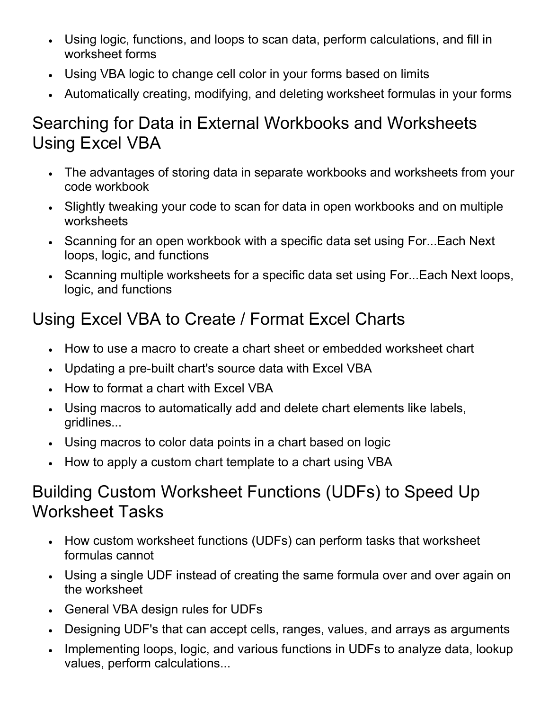- Using logic, functions, and loops to scan data, perform calculations, and fill in worksheet forms
- Using VBA logic to change cell color in your forms based on limits
- Automatically creating, modifying, and deleting worksheet formulas in your forms

#### Searching for Data in External Workbooks and Worksheets Using Excel VBA

- The advantages of storing data in separate workbooks and worksheets from your code workbook
- Slightly tweaking your code to scan for data in open workbooks and on multiple worksheets
- Scanning for an open workbook with a specific data set using For...Each Next loops, logic, and functions
- Scanning multiple worksheets for a specific data set using For...Each Next loops, logic, and functions

### Using Excel VBA to Create / Format Excel Charts

- How to use a macro to create a chart sheet or embedded worksheet chart
- Updating a pre-built chart's source data with Excel VBA
- How to format a chart with Excel VBA
- Using macros to automatically add and delete chart elements like labels, gridlines...
- Using macros to color data points in a chart based on logic
- How to apply a custom chart template to a chart using VBA

#### Building Custom Worksheet Functions (UDFs) to Speed Up Worksheet Tasks

- How custom worksheet functions (UDFs) can perform tasks that worksheet formulas cannot
- Using a single UDF instead of creating the same formula over and over again on the worksheet
- General VBA design rules for UDFs
- Designing UDF's that can accept cells, ranges, values, and arrays as arguments
- Implementing loops, logic, and various functions in UDFs to analyze data, lookup values, perform calculations...